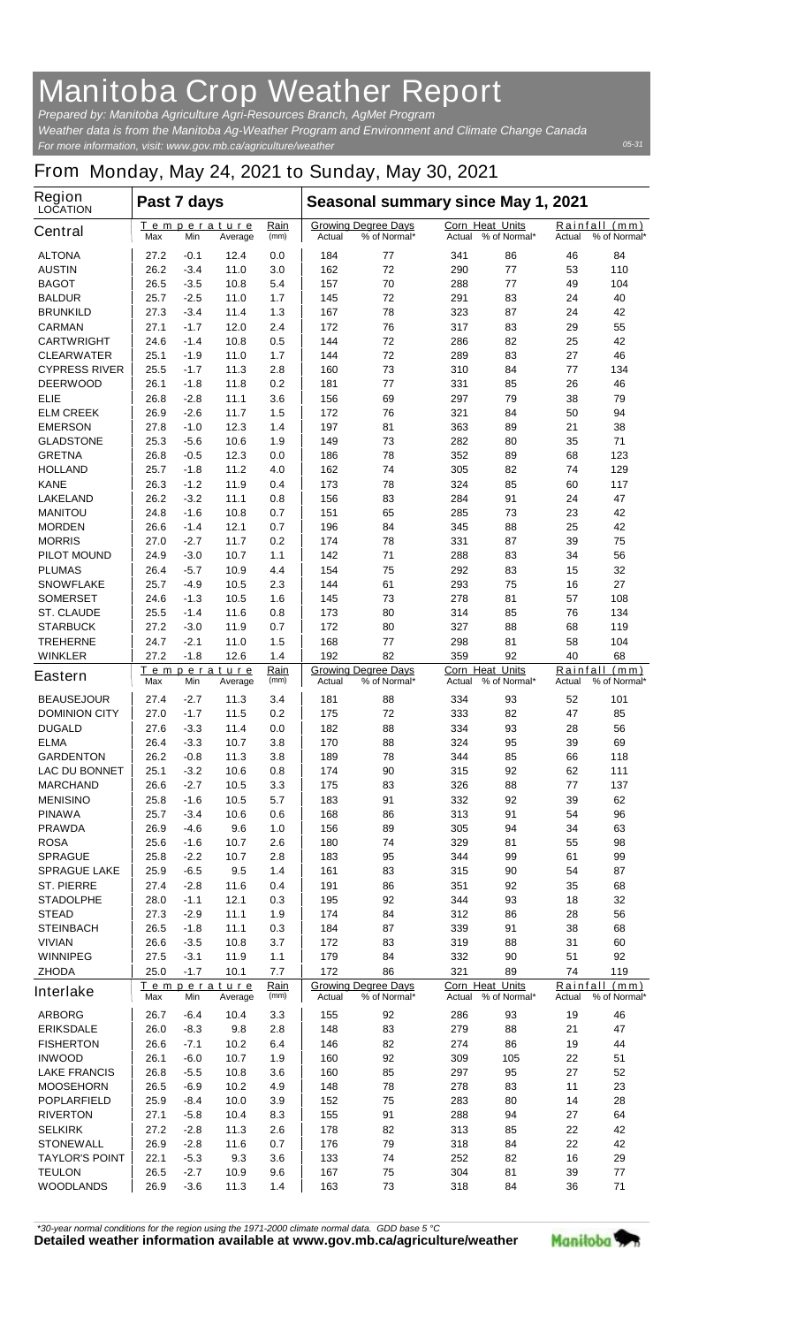## **Manitoba Crop Weather Report**

*For more information, visit: www.gov.mb.ca/agriculture/weather Prepared by: Manitoba Agriculture Agri-Resources Branch, AgMet Program Weather data is from the Manitoba Ag-Weather Program and Environment and Climate Change Canada*

## **From Monday, May 24, 2021 to Sunday, May 30, 2021**

| <b>Region</b><br><b>LOCATION</b>   | Past 7 days                                          |                  |                        |                                                      | Seasonal summary since May 1, 2021                   |                                            |                                                  |                                         |                                            |                      |
|------------------------------------|------------------------------------------------------|------------------|------------------------|------------------------------------------------------|------------------------------------------------------|--------------------------------------------|--------------------------------------------------|-----------------------------------------|--------------------------------------------|----------------------|
| <b>Central</b>                     | Max                                                  | Min              | Temperature<br>Average | Rain<br>(mm)                                         | Actual                                               | <b>Growing Degree Days</b><br>% of Normal* | Corn Heat Units<br>Actual                        | % of Normal*                            | Rainfall<br>Actual                         | (mm)<br>% of Normal* |
| <b>ALTONA</b>                      | 27.2                                                 | -0.1             | 12.4                   | 0.0                                                  | 184                                                  | 77                                         | 341                                              | 86                                      | 46                                         | 84                   |
| <b>AUSTIN</b>                      | 26.2                                                 | $-3.4$           | 11.0                   | 3.0                                                  | 162                                                  | 72                                         | 290                                              | 77                                      | 53                                         | 110                  |
| <b>BAGOT</b>                       | 26.5                                                 | -3.5             | 10.8                   | 5.4                                                  | 157                                                  | 70                                         | 288                                              | 77                                      | 49                                         | 104                  |
| <b>BALDUR</b>                      | 25.7                                                 | $-2.5$           | 11.0                   | 1.7                                                  | 145                                                  | 72                                         | 291                                              | 83                                      | 24                                         | 40                   |
| <b>BRUNKILD</b>                    | 27.3                                                 | -3.4             | 11.4                   | 1.3                                                  | 167                                                  | 78                                         | 323                                              | 87                                      | 24                                         | 42                   |
| <b>CARMAN</b>                      | 27.1                                                 | $-1.7$           | 12.0                   | 2.4                                                  | 172                                                  | 76                                         | 317                                              | 83                                      | 29                                         | 55                   |
| <b>CARTWRIGHT</b>                  | 24.6                                                 | $-1.4$           | 10.8                   | 0.5                                                  | 144                                                  | 72                                         | 286                                              | 82                                      | 25                                         | 42                   |
| <b>CLEARWATER</b>                  | 25.1                                                 | $-1.9$           | 11.0                   | 1.7                                                  | 144                                                  | 72                                         | 289                                              | 83                                      | 27                                         | 46                   |
| <b>CYPRESS RIVER</b>               | 25.5                                                 | $-1.7$           | 11.3                   | 2.8                                                  | 160                                                  | 73                                         | 310                                              | 84                                      | 77                                         | 134                  |
| <b>DEERWOOD</b>                    | 26.1                                                 | -1.8             | 11.8                   | 0.2                                                  | 181                                                  | 77                                         | 331                                              | 85                                      | 26                                         | 46                   |
| ELIE                               | 26.8                                                 | $-2.8$           | 11.1                   | 3.6                                                  | 156                                                  | 69                                         | 297                                              | 79                                      | 38                                         | 79                   |
| <b>ELM CREEK</b>                   | 26.9                                                 | $-2.6$           | 11.7<br>12.3           | 1.5<br>1.4                                           | 172<br>197                                           | 76<br>81                                   | 321<br>363                                       | 84<br>89                                | 50<br>21                                   | 94<br>38             |
| <b>EMERSON</b><br><b>GLADSTONE</b> | 27.8<br>25.3                                         | $-1.0$<br>$-5.6$ | 10.6                   | 1.9                                                  | 149                                                  | 73                                         | 282                                              | 80                                      | 35                                         | 71                   |
| <b>GRETNA</b>                      | 26.8                                                 | -0.5             | 12.3                   | 0.0                                                  | 186                                                  | 78                                         | 352                                              | 89                                      | 68                                         | 123                  |
| <b>HOLLAND</b>                     | 25.7                                                 | -1.8             | 11.2                   | 4.0                                                  | 162                                                  | 74                                         | 305                                              | 82                                      | 74                                         | 129                  |
| <b>KANE</b>                        | 26.3                                                 | $-1.2$           | 11.9                   | 0.4                                                  | 173                                                  | 78                                         | 324                                              | 85                                      | 60                                         | 117                  |
| <b>LAKELAND</b>                    | 26.2                                                 | $-3.2$           | 11.1                   | 0.8                                                  | 156                                                  | 83                                         | 284                                              | 91                                      | 24                                         | 47                   |
| <b>MANITOU</b>                     | 24.8                                                 | -1.6             | 10.8                   | 0.7                                                  | 151                                                  | 65                                         | 285                                              | 73                                      | 23                                         | 42                   |
| <b>MORDEN</b>                      | 26.6                                                 | $-1.4$           | 12.1                   | 0.7                                                  | 196                                                  | 84                                         | 345                                              | 88                                      | 25                                         | 42                   |
| <b>MORRIS</b>                      | 27.0                                                 | -2.7             | 11.7                   | 0.2                                                  | 174                                                  | 78                                         | 331                                              | 87                                      | 39                                         | 75                   |
| <b>PILOT MOUND</b>                 | 24.9                                                 | $-3.0$           | 10.7                   | 1.1                                                  | 142                                                  | 71                                         | 288                                              | 83                                      | 34                                         | 56                   |
| <b>PLUMAS</b>                      | 26.4                                                 | $-5.7$           | 10.9                   | 4.4                                                  | 154                                                  | 75                                         | 292                                              | 83                                      | 15                                         | 32                   |
| <b>SNOWFLAKE</b>                   | 25.7                                                 | $-4.9$           | 10.5                   | 2.3                                                  | 144                                                  | 61                                         | 293                                              | 75                                      | 16                                         | 27                   |
| <b>SOMERSET</b>                    | 24.6                                                 | $-1.3$           | 10.5                   | 1.6                                                  | 145                                                  | 73                                         | 278                                              | 81                                      | 57                                         | 108                  |
|                                    |                                                      |                  | 11.6                   |                                                      | 173                                                  | 80                                         |                                                  | 85                                      | 76                                         | 134                  |
| <b>ST. CLAUDE</b>                  | 25.5<br>27.2                                         | -1.4             | 11.9                   | 0.8                                                  | 172                                                  | 80                                         | 314<br>327                                       | 88                                      | 68                                         | 119                  |
| <b>STARBUCK</b>                    |                                                      | $-3.0$           |                        | 0.7<br>1.5                                           |                                                      |                                            |                                                  |                                         |                                            | 104                  |
| <b>TREHERNE</b><br><b>WINKLER</b>  | 24.7<br>27.2                                         | $-2.1$           | 11.0<br>12.6           |                                                      | 168<br>192                                           | 77<br>82                                   | 298<br>359                                       | 81<br>92                                | 58<br>40                                   | 68                   |
|                                    |                                                      | $-1.8$           |                        | 1.4                                                  |                                                      |                                            |                                                  |                                         |                                            |                      |
| <b>Eastern</b>                     | Max                                                  | Min              | Temperature<br>Average | Rain<br>(mm)                                         | <b>Growing Degree Days</b><br>% of Normal*<br>Actual |                                            | <b>Corn Heat Units</b><br>% of Normal*<br>Actual |                                         | Rainfall<br>(mm)<br>Actual<br>% of Normal* |                      |
| <b>BEAUSEJOUR</b>                  | 27.4                                                 | -2.7             | 11.3                   | 3.4                                                  | 181                                                  | 88                                         | 334                                              | 93                                      | 52                                         | 101                  |
| <b>DOMINION CITY</b>               | 27.0                                                 | $-1.7$           | 11.5                   | 0.2                                                  | 175                                                  | 72                                         | 333                                              | 82                                      | 47                                         | 85                   |
| <b>DUGALD</b>                      | 27.6                                                 | $-3.3$           | 11.4                   | 0.0                                                  | 182                                                  | 88                                         | 334                                              | 93                                      | 28                                         | 56                   |
| <b>ELMA</b>                        | 26.4                                                 | $-3.3$           | 10.7                   | 3.8                                                  | 170                                                  | 88                                         | 324                                              | 95                                      | 39                                         | 69                   |
| <b>GARDENTON</b>                   | 26.2                                                 | -0.8             | 11.3                   | 3.8                                                  | 189                                                  | 78                                         | 344                                              | 85                                      | 66                                         | 118                  |
| LAC DU BONNET                      | 25.1                                                 | $-3.2$           | 10.6                   | 0.8                                                  | 174                                                  | 90                                         | 315                                              | 92                                      | 62                                         | 111                  |
| <b>MARCHAND</b>                    | 26.6                                                 | -2.7             | 10.5                   | 3.3                                                  | 175                                                  | 83                                         | 326                                              | 88                                      | 77                                         | 137                  |
| <b>MENISINO</b>                    | 25.8                                                 | $-1.6$           | 10.5                   | 5.7                                                  | 183                                                  | 91                                         | 332                                              | 92                                      | 39                                         | 62                   |
| <b>PINAWA</b>                      | 25.7                                                 | $-3.4$           | 10.6                   | 0.6                                                  | 168                                                  | 86                                         | 313                                              | 91                                      | 54                                         | 96                   |
| <b>PRAWDA</b>                      | 26.9                                                 | -4.6             | 9.6                    | 1.0                                                  | 156                                                  | 89                                         | 305                                              | 94                                      | 34                                         | 63                   |
| <b>ROSA</b>                        | 25.6                                                 | -1.6             | 10.7                   | 2.6                                                  | 180                                                  | 74                                         | 329                                              | 81                                      | 55                                         | 98                   |
| <b>SPRAGUE</b>                     | 25.8                                                 | $-2.2$           | 10.7                   | 2.8                                                  | 183                                                  | 95                                         | 344                                              | 99                                      | 61                                         | 99                   |
| <b>SPRAGUE LAKE</b>                | 25.9                                                 | -6.5             | 9.5                    | 1.4                                                  | 161                                                  | 83                                         | 315                                              | 90                                      | 54                                         | 87                   |
| <b>ST. PIERRE</b>                  | 27.4                                                 | $-2.8$           | 11.6                   | 0.4                                                  | 191                                                  | 86                                         | 351                                              | 92                                      | 35                                         | 68                   |
| <b>STADOLPHE</b>                   | 28.0                                                 | $-1.1$           | 12.1                   | 0.3                                                  | 195                                                  | 92                                         | 344                                              | 93                                      | 18                                         | 32                   |
| <b>STEAD</b>                       | 27.3                                                 | $-2.9$           | 11.1                   | 1.9                                                  | 174                                                  | 84                                         | 312                                              | 86                                      | 28                                         | 56                   |
| <b>STEINBACH</b>                   | 26.5                                                 | $-1.8$           | 11.1                   | 0.3                                                  | 184                                                  | 87                                         | 339                                              | 91                                      | 38                                         | 68                   |
| <b>VIVIAN</b>                      | 26.6                                                 | $-3.5$           | 10.8                   | 3.7                                                  | 172                                                  | 83                                         | 319                                              | 88                                      | 31                                         | 60                   |
| <b>WINNIPEG</b>                    | 27.5                                                 | $-3.1$           | 11.9                   | 1.1                                                  | 179                                                  | 84                                         | 332                                              | 90                                      | 51                                         | 92                   |
| <b>ZHODA</b>                       | 25.0                                                 | $-1.7$           | 10.1                   | 7.7                                                  | 172                                                  | 86                                         | 321                                              | 89                                      | 74                                         | 119                  |
| <b>Interlake</b>                   | Rain<br>Temperature<br>(mm)<br>Max<br>Min<br>Average |                  |                        | <b>Growing Degree Days</b><br>% of Normal*<br>Actual |                                                      | Corn Heat Units<br>Actual % of Normal*     |                                                  | Rainfall (mm)<br>Actual<br>% of Normal* |                                            |                      |
| <b>ARBORG</b>                      | 26.7                                                 | -6.4             | 10.4                   | 3.3                                                  | 155                                                  | 92                                         | 286                                              | 93                                      | 19                                         | 46                   |
| <b>ERIKSDALE</b>                   | 26.0                                                 | -8.3             | 9.8                    | 2.8                                                  | 148                                                  | 83                                         | 279                                              | 88                                      | 21                                         | 47                   |
| <b>FISHERTON</b>                   | 26.6                                                 | $-7.1$           | 10.2                   | 6.4                                                  | 146                                                  | 82                                         | 274                                              | 86                                      | 19                                         | 44                   |
| <b>INWOOD</b>                      | 26.1                                                 | -6.0             | 10.7                   | 1.9                                                  | 160                                                  | 92                                         | 309                                              | 105                                     | 22                                         | 51                   |
| <b>LAKE FRANCIS</b>                | 26.8                                                 | $-5.5$           | 10.8                   | 3.6                                                  | 160                                                  | 85                                         | 297                                              | 95                                      | 27                                         | 52                   |
| <b>MOOSEHORN</b>                   | 26.5                                                 | -6.9             | 10.2                   | 4.9                                                  | 148                                                  | 78                                         | 278                                              | 83                                      | 11                                         | 23                   |
| <b>POPLARFIELD</b>                 | 25.9                                                 | -8.4             | 10.0                   | 3.9                                                  | 152                                                  | 75                                         | 283                                              | 80                                      | 14                                         | 28                   |
| <b>RIVERTON</b>                    | 27.1                                                 | $-5.8$           | 10.4                   | 8.3                                                  | 155                                                  | 91                                         | 288                                              | 94                                      | 27                                         | 64                   |
| <b>SELKIRK</b>                     | 27.2                                                 | $-2.8$           | 11.3                   | 2.6                                                  | 178                                                  | 82                                         | 313                                              | 85                                      | 22                                         | 42                   |
| <b>STONEWALL</b>                   | 26.9                                                 | -2.8             | 11.6                   | 0.7                                                  | 176                                                  | 79                                         | 318                                              | 84                                      | 22                                         | 42                   |
| <b>TAYLOR'S POINT</b>              | 22.1                                                 | $-5.3$           | 9.3                    | 3.6                                                  | 133                                                  | 74                                         | 252                                              | 82                                      | 16                                         | 29                   |
| <b>TEULON</b>                      | 26.5                                                 | $-2.7$           | 10.9                   | 9.6                                                  | 167                                                  | 75                                         | 304                                              | 81                                      | 39                                         | 77                   |
| <b>WOODLANDS</b>                   | 26.9                                                 | $-3.6$           | 11.3                   | 1.4                                                  | 163                                                  | 73                                         | 318                                              | 84                                      | 36                                         | 71                   |

*\*30-year normal conditions for the region using the 1971-2000 climate normal data. GDD base 5 °C*<br>Detailed weather information available at www.gov.mb.ca/agriculture/weather